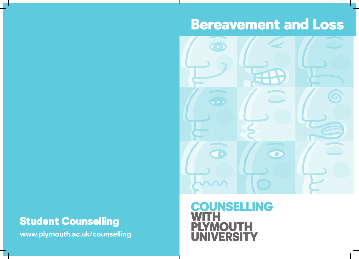# Bereavement and Loss



## Student Counselling

**www.plymouth.ac.uk/counselling**

### **OUNSELLING** WITH **DUTH** NIVERSITY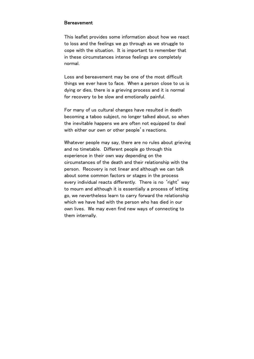#### **Bereavement**

This leaflet provides some information about how we react to loss and the feelings we go through as we struggle to cope with the situation. It is important to remember that in these circumstances intense feelings are completely normal.

Loss and bereavement may be one of the most difficult things we ever have to face. When a person close to us is dying or dies, there is a grieving process and it is normal for recovery to be slow and emotionally painful.

For many of us cultural changes have resulted in death becoming a taboo subject, no longer talked about, so when the inevitable happens we are often not equipped to deal with either our own or other people's reactions.

Whatever people may say, there are no rules about grieving and no timetable. Different people go through this experience in their own way depending on the circumstances of the death and their relationship with the person. Recovery is not linear and although we can talk about some common factors or stages in the process every individual reacts differently. There is no 'right' way to mourn and although it is essentially a process of letting go, we nevertheless learn to carry forward the relationship which we have had with the person who has died in our own lives. We may even find new ways of connecting to them internally.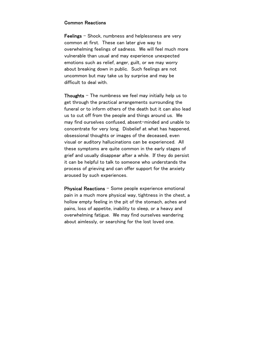#### Common Reactions

**Feelings**  $-$  Shock, numbness and helplessness are very common at first. These can later give way to overwhelming feelings of sadness. We will feel much more vulnerable than usual and may experience unexpected emotions such as relief, anger, guilt, or we may worry about breaking down in public. Such feelings are not uncommon but may take us by surprise and may be difficult to deal with.

**Thoughts** – The numbness we feel may initially help us to get through the practical arrangements surrounding the funeral or to inform others of the death but it can also lead us to cut off from the people and things around us. We may find ourselves confused, absent-minded and unable to concentrate for very long. Disbelief at what has happened, obsessional thoughts or images of the deceased, even visual or auditory hallucinations can be experienced. All these symptoms are quite common in the early stages of grief and usually disappear after a while. If they do persist it can be helpful to talk to someone who understands the process of grieving and can offer support for the anxiety aroused by such experiences.

Physical Reactions – Some people experience emotional pain in a much more physical way, tightness in the chest, a hollow empty feeling in the pit of the stomach, aches and pains, loss of appetite, inability to sleep, or a heavy and overwhelming fatigue. We may find ourselves wandering about aimlessly, or searching for the lost loved one.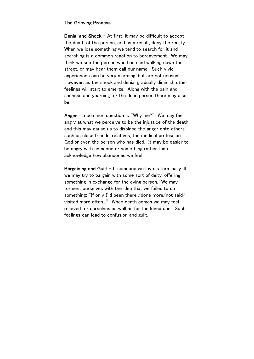#### The Grieving Process

**Denial and Shock**  $-$  At first, it may be difficult to accept the death of the person, and as a result, deny the reality. When we lose something we tend to search for it and searching is a common reaction to bereavement. We may think we see the person who has died walking down the street, or may hear them call our name. Such vivid experiences can be very alarming, but are not unusual. However, as the shock and denial gradually diminish other feelings will start to emerge. Along with the pain and sadness and yearning for the dead person there may also be:

Anger – a common question is "Why me?" We may feel angry at what we perceive to be the injustice of the death and this may cause us to displace the anger onto others such as close friends, relatives, the medical profession, God or even the person who has died. It may be easier to be angry with someone or something rather than acknowledge how abandoned we feel.

**Bargaining and Guilt**  $-$  If someone we love is terminally ill we may try to bargain with some sort of deity, offering something in exchange for the dying person. We may torment ourselves with the idea that we failed to do something; "If only I'd been there /done more/not said/ visited more often..." When death comes we may feel relieved for ourselves as well as for the loved one. Such feelings can lead to confusion and guilt.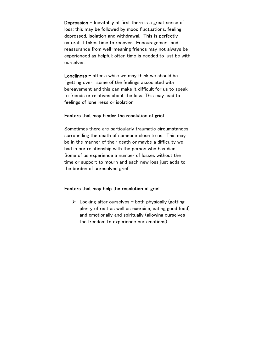Depression – Inevitably at first there is a great sense of loss; this may be followed by mood fluctuations, feeling depressed, isolation and withdrawal. This is perfectly natural: it takes time to recover. Encouragement and reassurance from well-meaning friends may not always be experienced as helpful: often time is needed to just be with ourselves.

Loneliness – after a while we may think we should be 'getting over' some of the feelings associated with bereavement and this can make it difficult for us to speak to friends or relatives about the loss. This may lead to feelings of loneliness or isolation.

#### Factors that may hinder the resolution of grief

Sometimes there are particularly traumatic circumstances surrounding the death of someone close to us. This may be in the manner of their death or maybe a difficulty we had in our relationship with the person who has died. Some of us experience a number of losses without the time or support to mourn and each new loss just adds to the burden of unresolved grief.

#### Factors that may help the resolution of grief

 $\triangleright$  Looking after ourselves – both physically (getting plenty of rest as well as exercise, eating good food) and emotionally and spiritually (allowing ourselves the freedom to experience our emotions)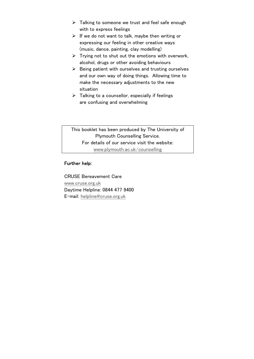- $\triangleright$  Talking to someone we trust and feel safe enough with to express feelings
- $\triangleright$  If we do not want to talk, maybe then writing or expressing our feeling in other creative ways (music, dance, painting, clay modelling)
- $\triangleright$  Trying not to shut out the emotions with overwork, alcohol, drugs or other avoiding behaviours
- $\triangleright$  Being patient with ourselves and trusting ourselves and our own way of doing things. Allowing time to make the necessary adjustments to the new situation
- $\triangleright$  Talking to a counsellor, especially if feelings are confusing and overwhelming

This booklet has been produced by The University of Plymouth Counselling Service. For details of our service visit the website: www.plymouth.ac.uk/counselling

#### Further help:

CRUSE Bereavement Care www.cruse.org.uk Daytime Helpline: 0844 477 9400 E-mail: helpline@cruse.org.uk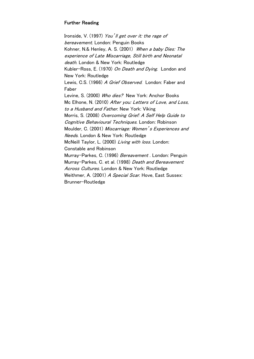#### Further Reading

Ironside, V. (1997) You'll get over it: the rage of bereavement. London: Penguin Books Kohner, N.& Henley, A. S. (2001) When a baby Dies: The experience of Late Miscarriage, Still birth and Neonatal death. London & New York: Routledge Kubler-Ross, E. (1970) On Death and Dying. London and New York: Routledge Lewis, C.S. (1966) A Grief Observed. London: Faber and Faber Levine, S. (2000) Who dies? New York: Anchor Books Mc Elhone, N. (2010) After you: Letters of Love, and Loss, to a Husband and Father. New York: Viking Morris, S. (2008) Overcoming Grief: A Self Help Guide to Cognitive Behavioural Techniques. London: Robinson Moulder, C. (2001) Miscarriage: Women's Experiences and Needs. London & New York: Routledge McNeill Taylor, L. (2000) Living with loss. London: Constable and Robinson Murrav-Parkes. C. (1996) Bereavement. London: Penguin Murray-Parkes, C. et al. (1998) Death and Bereavement Across Cultures. London & New York: Routledge Weithmer, A. (2001) A Special Scar. Hove, East Sussex: Brunner-Routledge